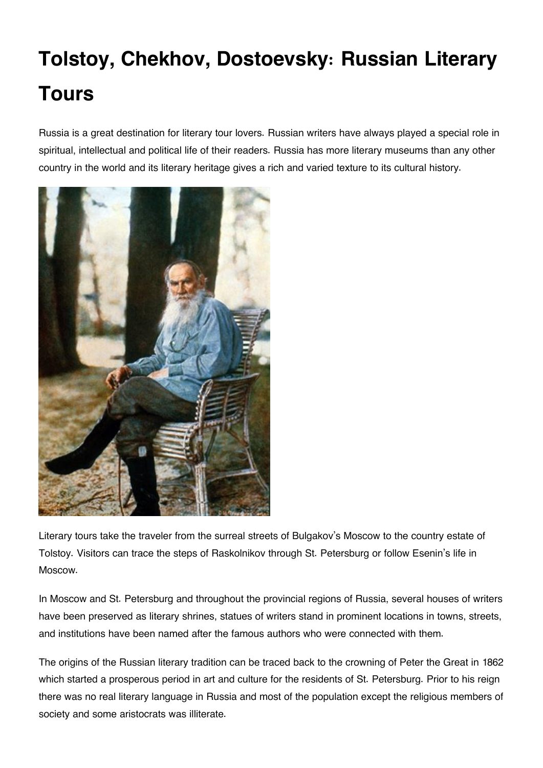## **Tolstoy, Chekhov, Dostoevsky: Russian Literary Tours**

Russia is a great destination for literary tour lovers. Russian writers have always played a special role in spiritual, intellectual and political life of their readers. Russia has more literary museums than any other country in the world and its literary heritage gives a rich and varied texture to its cultural history.



Literary tours take the traveler from the surreal streets of Bulgakov's Moscow to the country estate of Tolstoy. Visitors can trace the steps of Raskolnikov through St. Petersburg or follow Esenin's life in Moscow.

In Moscow and St. Petersburg and throughout the provincial regions of Russia, several houses of writers have been preserved as literary shrines, statues of writers stand in prominent locations in towns, streets, and institutions have been named after the famous authors who were connected with them.

The origins of the Russian literary tradition can be traced back to the crowning of Peter the Great in 1862 which started a prosperous period in art and culture for the residents of St. Petersburg. Prior to his reign there was no real literary language in Russia and most of the population except the religious members of society and some aristocrats was illiterate.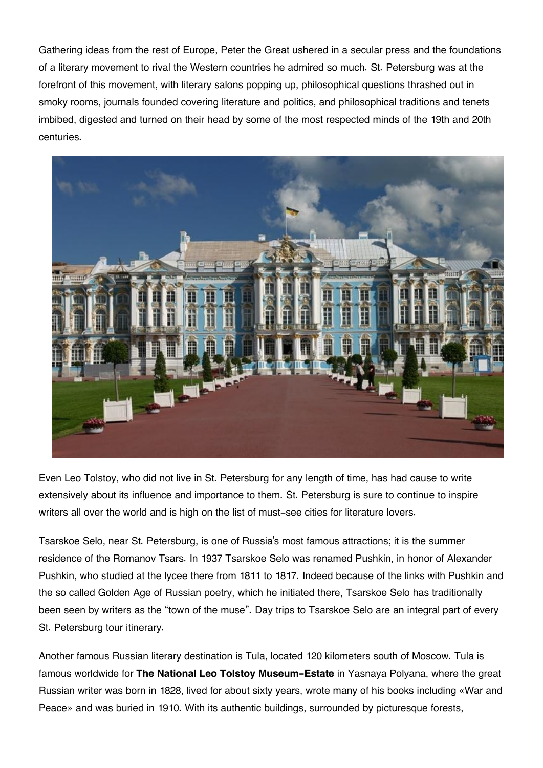Gathering ideas from the rest of Europe, Peter the Great ushered in a secular press and the foundations of a literary movement to rival the Western countries he admired so much. St. Petersburg was at the forefront of this movement, with literary salons popping up, philosophical questions thrashed out in smoky rooms, journals founded covering literature and politics, and philosophical traditions and tenets imbibed, digested and turned on their head by some of the most respected minds of the 19th and 20th centuries.



Even Leo Tolstoy, who did not live in St. Petersburg for any length of time, has had cause to write extensively about its influence and importance to them. St. Petersburg is sure to continue to inspire writers all over the world and is high on the list of must-see cities for literature lovers.

Tsarskoe Selo, near St. Petersburg, is one of Russia's most famous attractions; it is the summer residence of the Romanov Tsars. In 1937 Tsarskoe Selo was renamed Pushkin, in honor of Alexander Pushkin, who studied at the lycee there from 1811 to 1817. Indeed because of the links with Pushkin and the so called Golden Age of Russian poetry, which he initiated there, Tsarskoe Selo has traditionally been seen by writers as the "town of the muse". Day trips to Tsarskoe Selo are an integral part of every St. Petersburg tour itinerary.

Another famous Russian literary destination is Tula, located 120 kilometers south of Moscow. Tula is famous worldwide for **The National Leo Tolstoy Museum-Estate** in Yasnaya Polyana, where the great Russian writer was born in 1828, lived for about sixty years, wrote many of his books including «War and Peace» and was buried in 1910. With its authentic buildings, surrounded by picturesque forests,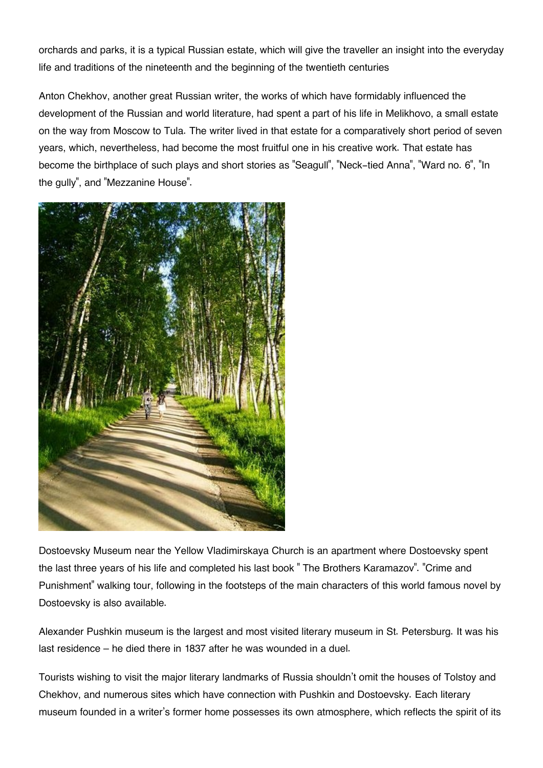orchards and parks, it is a typical Russian estate, which will give the traveller an insight into the everyday life and traditions of the nineteenth and the beginning of the twentieth centuries

Anton Chekhov, another great Russian writer, the works of which have formidably influenced the development of the Russian and world literature, had spent a part of his life in Melikhovo, a small estate on the way from Moscow to Tula. The writer lived in that estate for a comparatively short period of seven years, which, nevertheless, had become the most fruitful one in his creative work. That estate has become the birthplace of such plays and short stories as "Seagull", "Neck-tied Anna", "Ward no. 6", "In the gully", and "Mezzanine House".



Dostoevsky Museum near the Yellow Vladimirskaya Church is an apartment where Dostoevsky spent the last three years of his life and completed his last book " The Brothers Karamazov". "Crime and Punishment" walking tour, following in the footsteps of the main characters of this world famous novel by Dostoevsky is also available.

Alexander Pushkin museum is the largest and most visited literary museum in St. Petersburg. It was his last residence – he died there in 1837 after he was wounded in a duel.

Tourists wishing to visit the major literary landmarks of Russia shouldn't omit the houses of Tolstoy and Chekhov, and numerous sites which have connection with Pushkin and Dostoevsky. Each literary museum founded in a writer's former home possesses its own atmosphere, which reflects the spirit of its